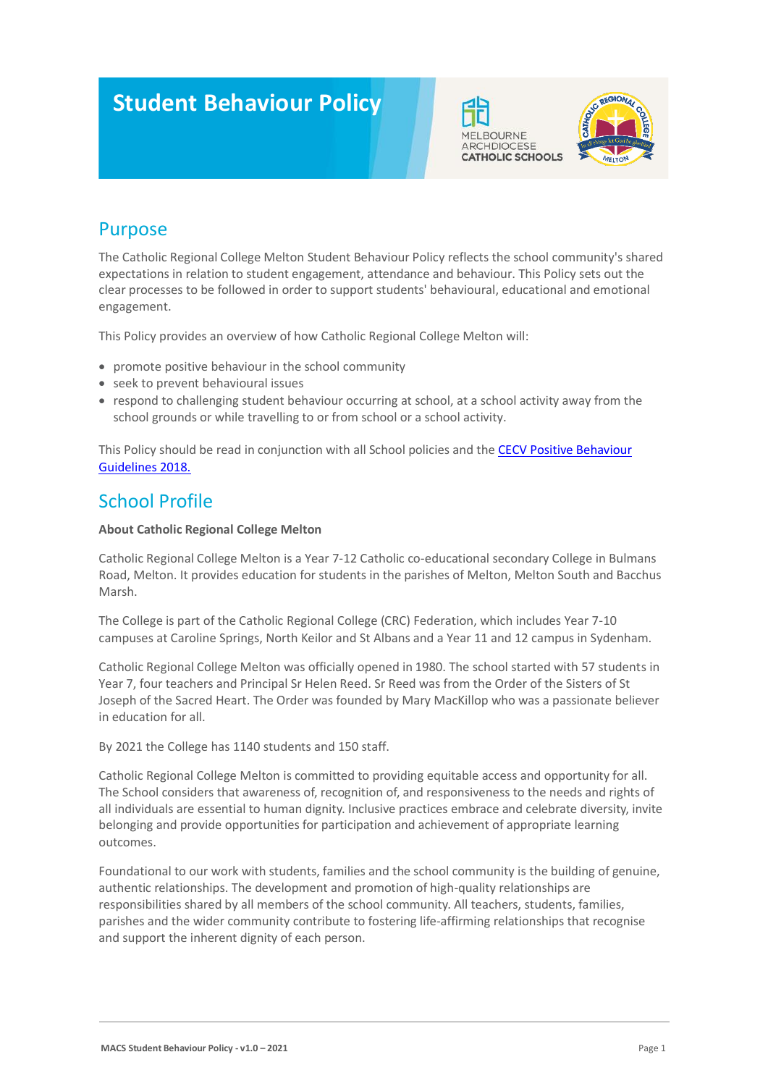# **Student Behaviour Policy**





### Purpose

The Catholic Regional College Melton Student Behaviour Policy reflects the school community's shared expectations in relation to student engagement, attendance and behaviour. This Policy sets out the clear processes to be followed in order to support students' behavioural, educational and emotional engagement.

This Policy provides an overview of how Catholic Regional College Melton will:

- promote positive behaviour in the school community
- seek to prevent behavioural issues
- respond to challenging student behaviour occurring at school, at a school activity away from the school grounds or while travelling to or from school or a school activity.

This Policy should be read in conjunction with all School policies and the [CECV Positive Behaviour](https://www.cecv.catholic.edu.au/getmedia/bc1d235d-9a98-4bb4-b3ac-84b50fa7c639/CECV-Positive-Behaviour-Guidelines_FINAL2.aspx?ext=.pdf)  [Guidelines 2018.](https://www.cecv.catholic.edu.au/getmedia/bc1d235d-9a98-4bb4-b3ac-84b50fa7c639/CECV-Positive-Behaviour-Guidelines_FINAL2.aspx?ext=.pdf)

### School Profile

### **About Catholic Regional College Melton**

Catholic Regional College Melton is a Year 7-12 Catholic co-educational secondary College in Bulmans Road, Melton. It provides education for students in the parishes of Melton, Melton South and Bacchus Marsh.

The College is part of the Catholic Regional College (CRC) Federation, which includes Year 7-10 campuses at Caroline Springs, North Keilor and St Albans and a Year 11 and 12 campus in Sydenham.

Catholic Regional College Melton was officially opened in 1980. The school started with 57 students in Year 7, four teachers and Principal Sr Helen Reed. Sr Reed was from the Order of the Sisters of St Joseph of the Sacred Heart. The Order was founded by Mary MacKillop who was a passionate believer in education for all.

By 2021 the College has 1140 students and 150 staff.

Catholic Regional College Melton is committed to providing equitable access and opportunity for all. The School considers that awareness of, recognition of, and responsiveness to the needs and rights of all individuals are essential to human dignity. Inclusive practices embrace and celebrate diversity, invite belonging and provide opportunities for participation and achievement of appropriate learning outcomes.

Foundational to our work with students, families and the school community is the building of genuine, authentic relationships. The development and promotion of high-quality relationships are responsibilities shared by all members of the school community. All teachers, students, families, parishes and the wider community contribute to fostering life-affirming relationships that recognise and support the inherent dignity of each person.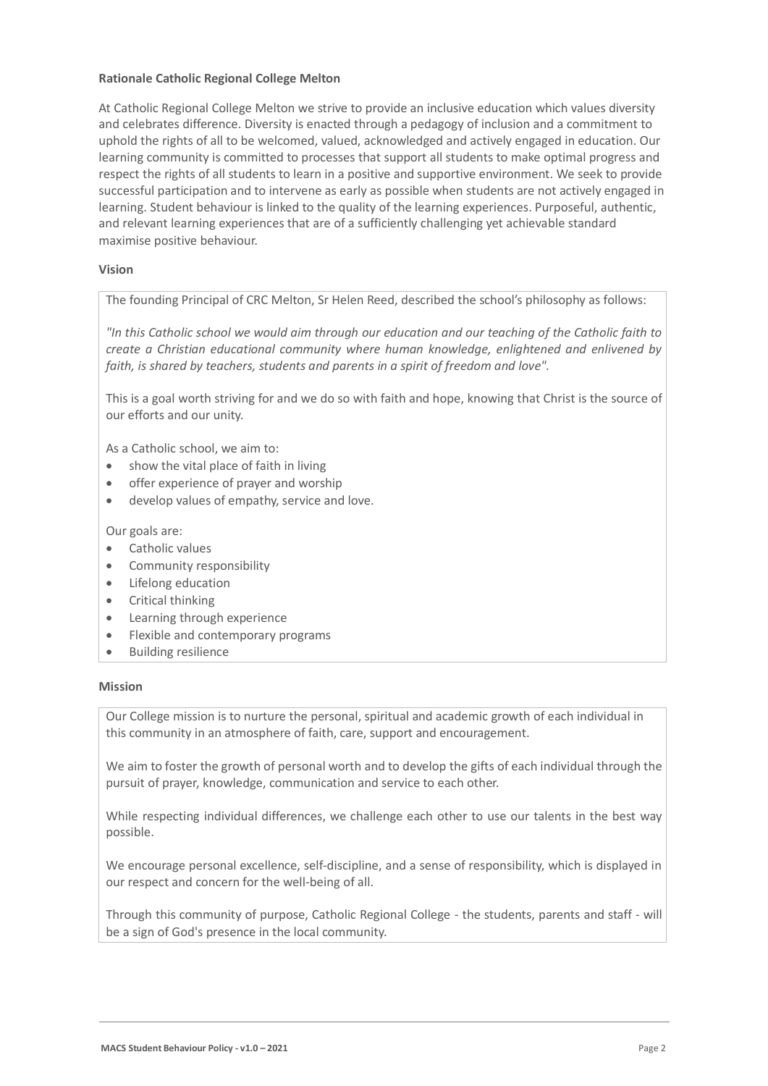### **Rationale Catholic Regional College Melton**

At Catholic Regional College Melton we strive to provide an inclusive education which values diversity and celebrates difference. Diversity is enacted through a pedagogy of inclusion and a commitment to uphold the rights of all to be welcomed, valued, acknowledged and actively engaged in education. Our learning community is committed to processes that support all students to make optimal progress and respect the rights of all students to learn in a positive and supportive environment. We seek to provide successful participation and to intervene as early as possible when students are not actively engaged in learning. Student behaviour is linked to the quality of the learning experiences. Purposeful, authentic, and relevant learning experiences that are of a sufficiently challenging yet achievable standard maximise positive behaviour.

#### **Vision**

The founding Principal of CRC Melton, Sr Helen Reed, described the school's philosophy as follows:

*"In this Catholic school we would aim through our education and our teaching of the Catholic faith to create a Christian educational community where human knowledge, enlightened and enlivened by faith, is shared by teachers, students and parents in a spirit of freedom and love".*

This is a goal worth striving for and we do so with faith and hope, knowing that Christ is the source of our efforts and our unity.

As a Catholic school, we aim to:

- show the vital place of faith in living
- offer experience of prayer and worship
- develop values of empathy, service and love.

Our goals are:

- Catholic values
- Community responsibility
- Lifelong education
- Critical thinking
- Learning through experience
- Flexible and contemporary programs
- Building resilience

#### **Mission**

Our College mission is to nurture the personal, spiritual and academic growth of each individual in this community in an atmosphere of faith, care, support and encouragement.

We aim to foster the growth of personal worth and to develop the gifts of each individual through the pursuit of prayer, knowledge, communication and service to each other.

While respecting individual differences, we challenge each other to use our talents in the best way possible.

We encourage personal excellence, self-discipline, and a sense of responsibility, which is displayed in our respect and concern for the well-being of all.

Through this community of purpose, Catholic Regional College - the students, parents and staff - will be a sign of God's presence in the local community.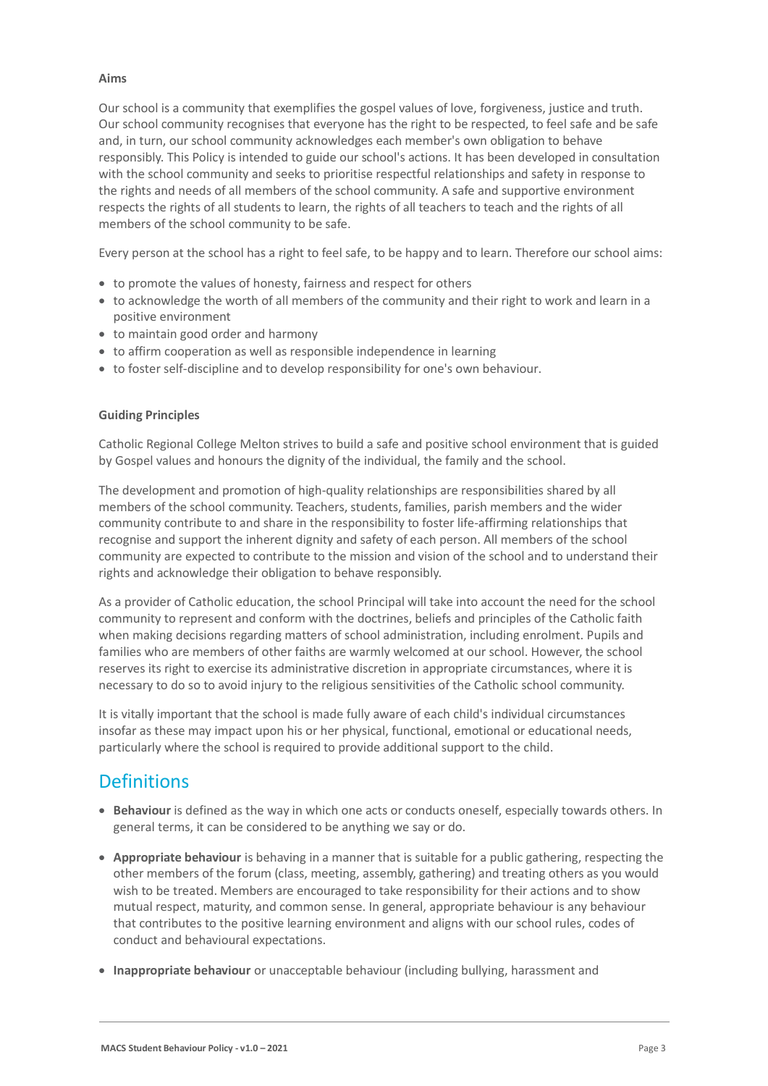### **Aims**

Our school is a community that exemplifies the gospel values of love, forgiveness, justice and truth. Our school community recognises that everyone has the right to be respected, to feel safe and be safe and, in turn, our school community acknowledges each member's own obligation to behave responsibly. This Policy is intended to guide our school's actions. It has been developed in consultation with the school community and seeks to prioritise respectful relationships and safety in response to the rights and needs of all members of the school community. A safe and supportive environment respects the rights of all students to learn, the rights of all teachers to teach and the rights of all members of the school community to be safe.

Every person at the school has a right to feel safe, to be happy and to learn. Therefore our school aims:

- to promote the values of honesty, fairness and respect for others
- to acknowledge the worth of all members of the community and their right to work and learn in a positive environment
- to maintain good order and harmony
- to affirm cooperation as well as responsible independence in learning
- to foster self-discipline and to develop responsibility for one's own behaviour.

### **Guiding Principles**

Catholic Regional College Melton strives to build a safe and positive school environment that is guided by Gospel values and honours the dignity of the individual, the family and the school.

The development and promotion of high-quality relationships are responsibilities shared by all members of the school community. Teachers, students, families, parish members and the wider community contribute to and share in the responsibility to foster life-affirming relationships that recognise and support the inherent dignity and safety of each person. All members of the school community are expected to contribute to the mission and vision of the school and to understand their rights and acknowledge their obligation to behave responsibly.

As a provider of Catholic education, the school Principal will take into account the need for the school community to represent and conform with the doctrines, beliefs and principles of the Catholic faith when making decisions regarding matters of school administration, including enrolment. Pupils and families who are members of other faiths are warmly welcomed at our school. However, the school reserves its right to exercise its administrative discretion in appropriate circumstances, where it is necessary to do so to avoid injury to the religious sensitivities of the Catholic school community.

It is vitally important that the school is made fully aware of each child's individual circumstances insofar as these may impact upon his or her physical, functional, emotional or educational needs, particularly where the school is required to provide additional support to the child.

### **Definitions**

- **Behaviour** is defined as the way in which one acts or conducts oneself, especially towards others. In general terms, it can be considered to be anything we say or do.
- **Appropriate behaviour** is behaving in a manner that is suitable for a public gathering, respecting the other members of the forum (class, meeting, assembly, gathering) and treating others as you would wish to be treated. Members are encouraged to take responsibility for their actions and to show mutual respect, maturity, and common sense. In general, appropriate behaviour is any behaviour that contributes to the positive learning environment and aligns with our school rules, codes of conduct and behavioural expectations.
- **Inappropriate behaviour** or unacceptable behaviour (including bullying, harassment and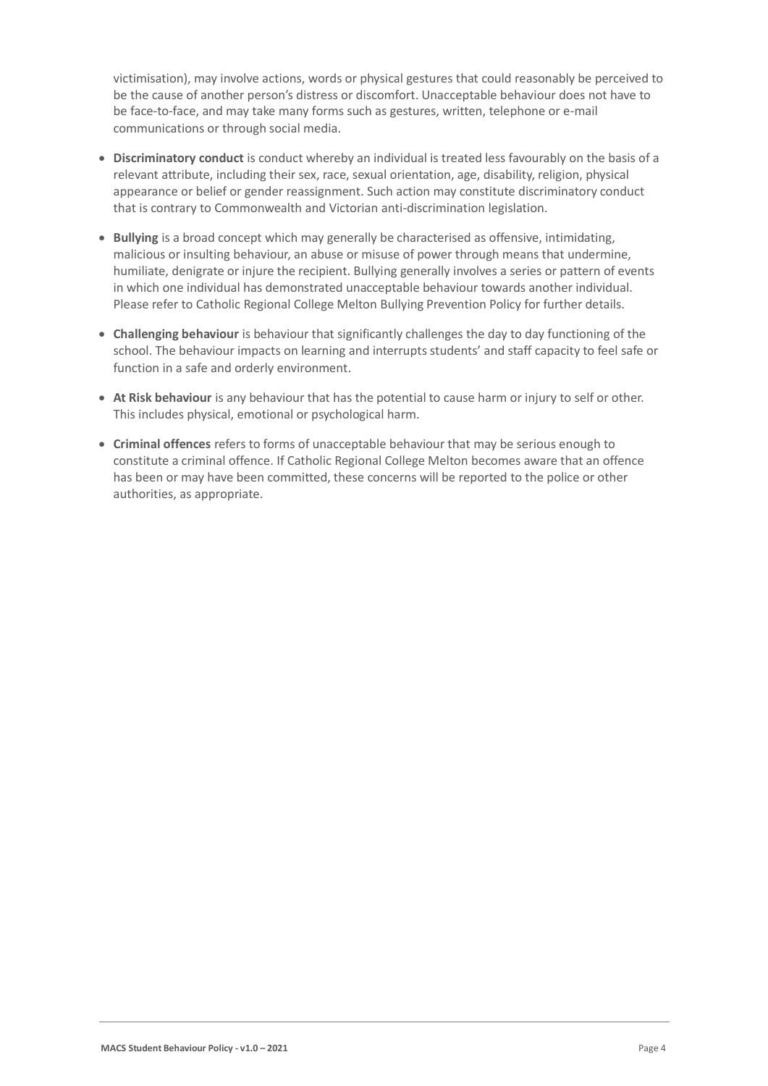victimisation), may involve actions, words or physical gestures that could reasonably be perceived to be the cause of another person's distress or discomfort. Unacceptable behaviour does not have to be face-to-face, and may take many forms such as gestures, written, telephone or e-mail communications or through social media.

- **Discriminatory conduct** is conduct whereby an individual is treated less favourably on the basis of a relevant attribute, including their sex, race, sexual orientation, age, disability, religion, physical appearance or belief or gender reassignment. Such action may constitute discriminatory conduct that is contrary to Commonwealth and Victorian anti-discrimination legislation.
- **Bullying** is a broad concept which may generally be characterised as offensive, intimidating, malicious or insulting behaviour, an abuse or misuse of power through means that undermine, humiliate, denigrate or injure the recipient. Bullying generally involves a series or pattern of events in which one individual has demonstrated unacceptable behaviour towards another individual. Please refer to Catholic Regional College Melton Bullying Prevention Policy for further details.
- **Challenging behaviour** is behaviour that significantly challenges the day to day functioning of the school. The behaviour impacts on learning and interrupts students' and staff capacity to feel safe or function in a safe and orderly environment.
- **At Risk behaviour** is any behaviour that has the potential to cause harm or injury to self or other. This includes physical, emotional or psychological harm.
- **Criminal offences** refers to forms of unacceptable behaviour that may be serious enough to constitute a criminal offence. If Catholic Regional College Melton becomes aware that an offence has been or may have been committed, these concerns will be reported to the police or other authorities, as appropriate.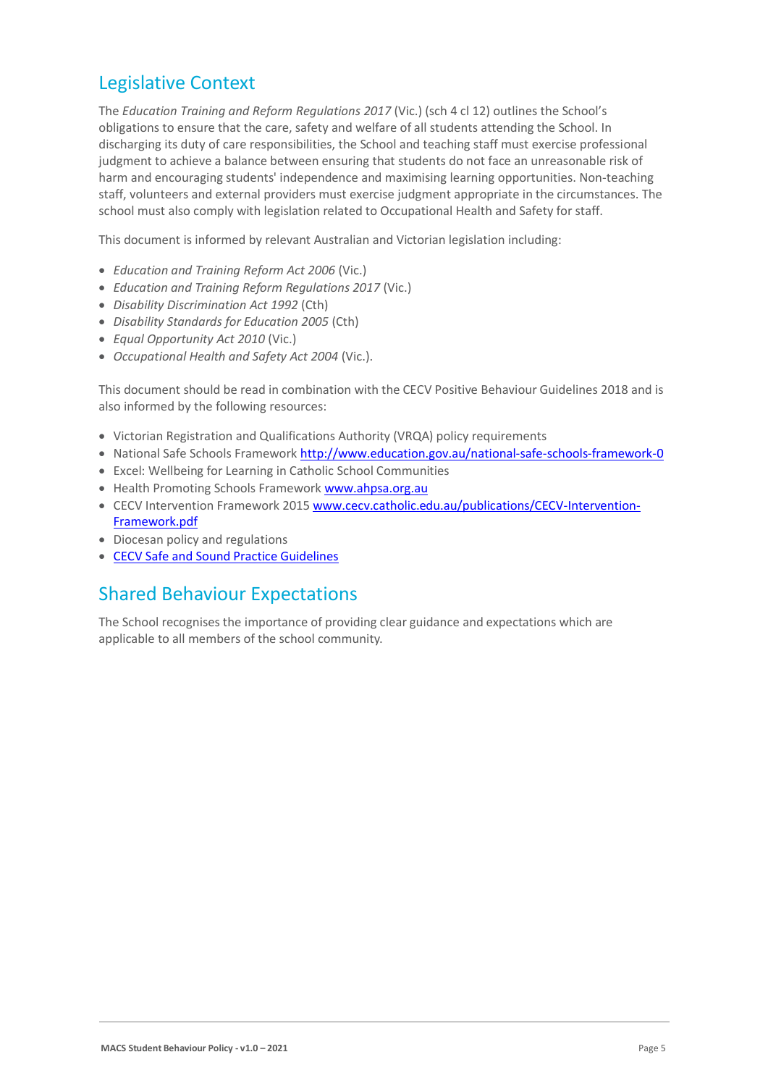### Legislative Context

The *Education Training and Reform Regulations 2017* (Vic.) (sch 4 cl 12) outlines the School's obligations to ensure that the care, safety and welfare of all students attending the School. In discharging its duty of care responsibilities, the School and teaching staff must exercise professional judgment to achieve a balance between ensuring that students do not face an unreasonable risk of harm and encouraging students' independence and maximising learning opportunities. Non-teaching staff, volunteers and external providers must exercise judgment appropriate in the circumstances. The school must also comply with legislation related to Occupational Health and Safety for staff.

This document is informed by relevant Australian and Victorian legislation including:

- *Education and Training Reform Act 2006* (Vic.)
- *Education and Training Reform Regulations 2017* (Vic.)
- *Disability Discrimination Act 1992* (Cth)
- *Disability Standards for Education 2005* (Cth)
- *Equal Opportunity Act 2010* (Vic.)
- *Occupational Health and Safety Act 2004* (Vic.).

This document should be read in combination with the CECV Positive Behaviour Guidelines 2018 and is also informed by the following resources:

- Victorian Registration and Qualifications Authority (VRQA) policy requirements
- National Safe Schools Framework<http://www.education.gov.au/national-safe-schools-framework-0>
- Excel: Wellbeing for Learning in Catholic School Communities
- Health Promoting Schools Framewor[k www.ahpsa.org.au](http://www.ahpsa.org.au/)
- CECV Intervention Framework 201[5 www.cecv.catholic.edu.au/publications/CECV-Intervention-](http://www.cecv.catholic.edu.au/publications/CECV-Intervention-Framework.pdf)[Framework.pdf](http://www.cecv.catholic.edu.au/publications/CECV-Intervention-Framework.pdf)
- Diocesan policy and regulations
- [CECV Safe and Sound Practice Guidelines](https://www.cecv.catholic.edu.au/getmedia/bad5e328-b5f9-4742-a66c-0c7f20ae21ff/Safe-and-Sound-Practice-Guidelines.aspx)

### Shared Behaviour Expectations

The School recognises the importance of providing clear guidance and expectations which are applicable to all members of the school community.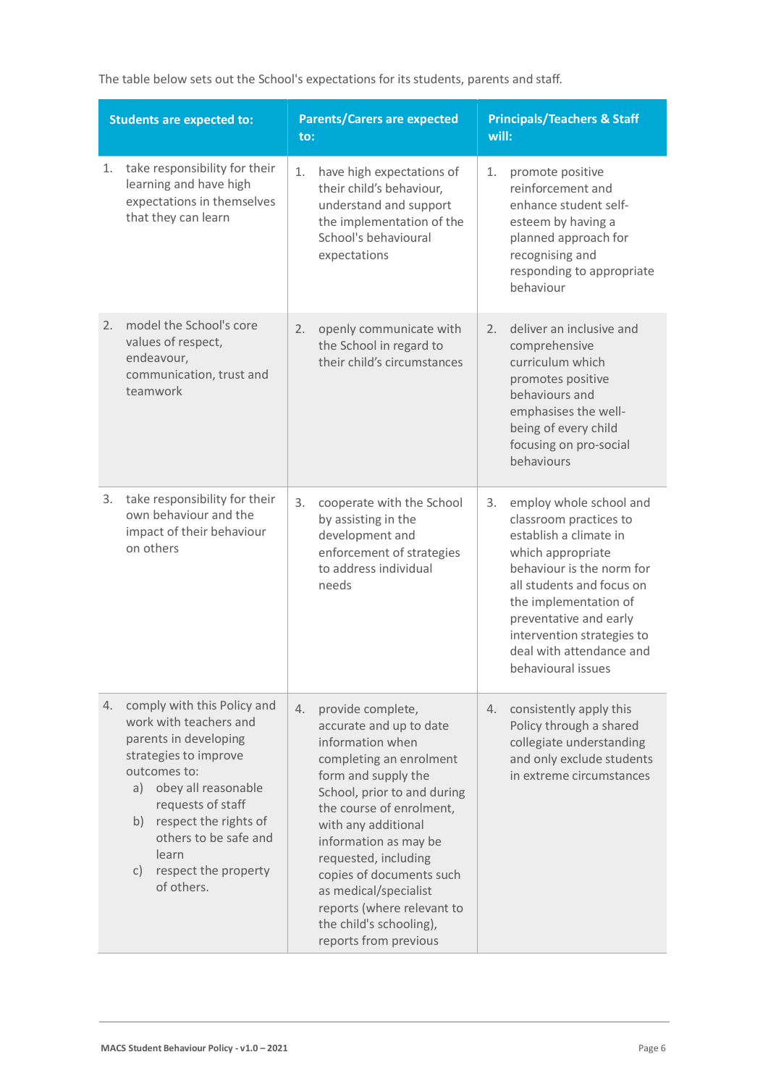The table below sets out the School's expectations for its students, parents and staff.

| <b>Students are expected to:</b> |                                                                                                                                                                                                                                                                                  | <b>Parents/Carers are expected</b><br>to:                                                                                                                                                                                                                                                                                                                                                          | <b>Principals/Teachers &amp; Staff</b><br>will:                                                                                                                                                                                                                                                     |  |
|----------------------------------|----------------------------------------------------------------------------------------------------------------------------------------------------------------------------------------------------------------------------------------------------------------------------------|----------------------------------------------------------------------------------------------------------------------------------------------------------------------------------------------------------------------------------------------------------------------------------------------------------------------------------------------------------------------------------------------------|-----------------------------------------------------------------------------------------------------------------------------------------------------------------------------------------------------------------------------------------------------------------------------------------------------|--|
| 1.                               | take responsibility for their<br>learning and have high<br>expectations in themselves<br>that they can learn                                                                                                                                                                     | 1.<br>have high expectations of<br>their child's behaviour,<br>understand and support<br>the implementation of the<br>School's behavioural<br>expectations                                                                                                                                                                                                                                         | 1.<br>promote positive<br>reinforcement and<br>enhance student self-<br>esteem by having a<br>planned approach for<br>recognising and<br>responding to appropriate<br>behaviour                                                                                                                     |  |
| 2.                               | model the School's core<br>values of respect,<br>endeavour,<br>communication, trust and<br>teamwork                                                                                                                                                                              | openly communicate with<br>2.<br>the School in regard to<br>their child's circumstances                                                                                                                                                                                                                                                                                                            | deliver an inclusive and<br>2.<br>comprehensive<br>curriculum which<br>promotes positive<br>behaviours and<br>emphasises the well-<br>being of every child<br>focusing on pro-social<br>behaviours                                                                                                  |  |
| 3.                               | take responsibility for their<br>own behaviour and the<br>impact of their behaviour<br>on others                                                                                                                                                                                 | 3.<br>cooperate with the School<br>by assisting in the<br>development and<br>enforcement of strategies<br>to address individual<br>needs                                                                                                                                                                                                                                                           | employ whole school and<br>3.<br>classroom practices to<br>establish a climate in<br>which appropriate<br>behaviour is the norm for<br>all students and focus on<br>the implementation of<br>preventative and early<br>intervention strategies to<br>deal with attendance and<br>behavioural issues |  |
| 4.                               | comply with this Policy and<br>work with teachers and<br>parents in developing<br>strategies to improve<br>outcomes to:<br>a) obey all reasonable<br>requests of staff<br>b) respect the rights of<br>others to be safe and<br>learn<br>respect the property<br>C)<br>of others. | provide complete,<br>4.<br>accurate and up to date<br>information when<br>completing an enrolment<br>form and supply the<br>School, prior to and during<br>the course of enrolment,<br>with any additional<br>information as may be<br>requested, including<br>copies of documents such<br>as medical/specialist<br>reports (where relevant to<br>the child's schooling),<br>reports from previous | 4.<br>consistently apply this<br>Policy through a shared<br>collegiate understanding<br>and only exclude students<br>in extreme circumstances                                                                                                                                                       |  |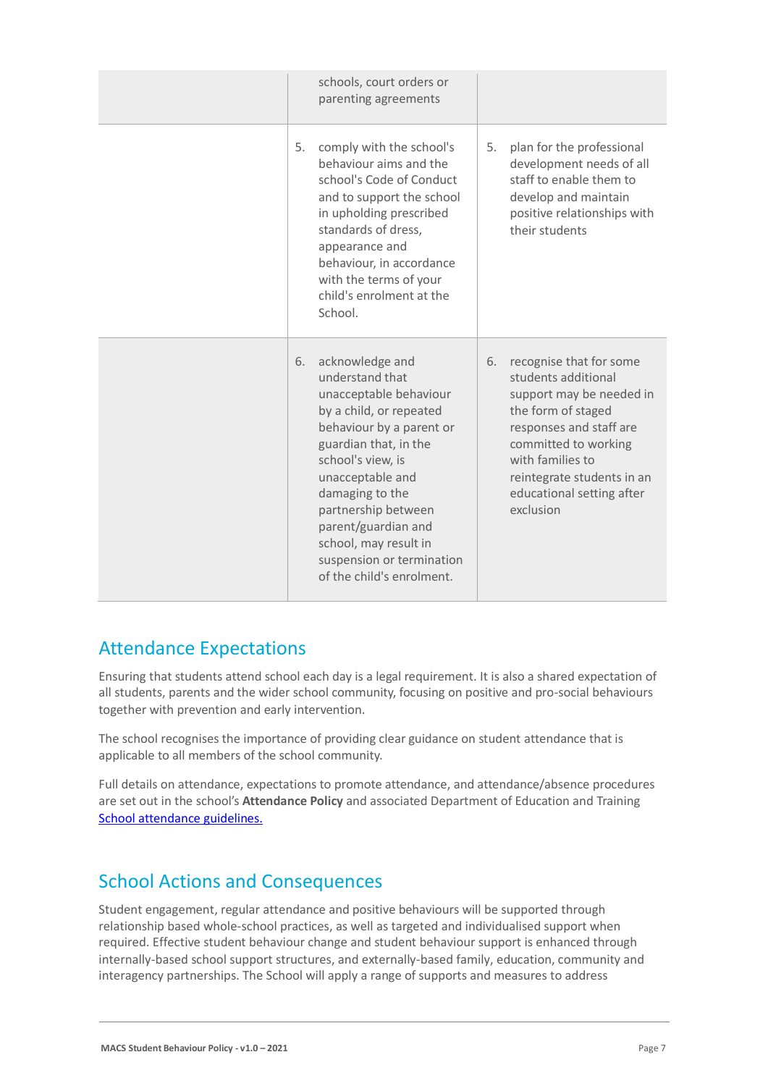|    | schools, court orders or<br>parenting agreements                                                                                                                                                                                                                                                                                          |    |                                                                                                                                                                                                                                                 |
|----|-------------------------------------------------------------------------------------------------------------------------------------------------------------------------------------------------------------------------------------------------------------------------------------------------------------------------------------------|----|-------------------------------------------------------------------------------------------------------------------------------------------------------------------------------------------------------------------------------------------------|
| 5. | comply with the school's<br>behaviour aims and the<br>school's Code of Conduct<br>and to support the school<br>in upholding prescribed<br>standards of dress,<br>appearance and<br>behaviour, in accordance<br>with the terms of your<br>child's enrolment at the<br>School.                                                              | 5. | plan for the professional<br>development needs of all<br>staff to enable them to<br>develop and maintain<br>positive relationships with<br>their students                                                                                       |
| 6. | acknowledge and<br>understand that<br>unacceptable behaviour<br>by a child, or repeated<br>behaviour by a parent or<br>guardian that, in the<br>school's view, is<br>unacceptable and<br>damaging to the<br>partnership between<br>parent/guardian and<br>school, may result in<br>suspension or termination<br>of the child's enrolment. | 6. | recognise that for some<br>students additional<br>support may be needed in<br>the form of staged<br>responses and staff are<br>committed to working<br>with families to<br>reintegrate students in an<br>educational setting after<br>exclusion |

### Attendance Expectations

Ensuring that students attend school each day is a legal requirement. It is also a shared expectation of all students, parents and the wider school community, focusing on positive and pro-social behaviours together with prevention and early intervention.

The school recognises the importance of providing clear guidance on student attendance that is applicable to all members of the school community.

Full details on attendance, expectations to promote attendance, and attendance/absence procedures are set out in the school's **Attendance Policy** and associated Department of Education and Training [School attendance guidelines.](https://www2.education.vic.gov.au/pal/attendance/guidance)

## School Actions and Consequences

Student engagement, regular attendance and positive behaviours will be supported through relationship based whole-school practices, as well as targeted and individualised support when required. Effective student behaviour change and student behaviour support is enhanced through internally-based school support structures, and externally-based family, education, community and interagency partnerships. The School will apply a range of supports and measures to address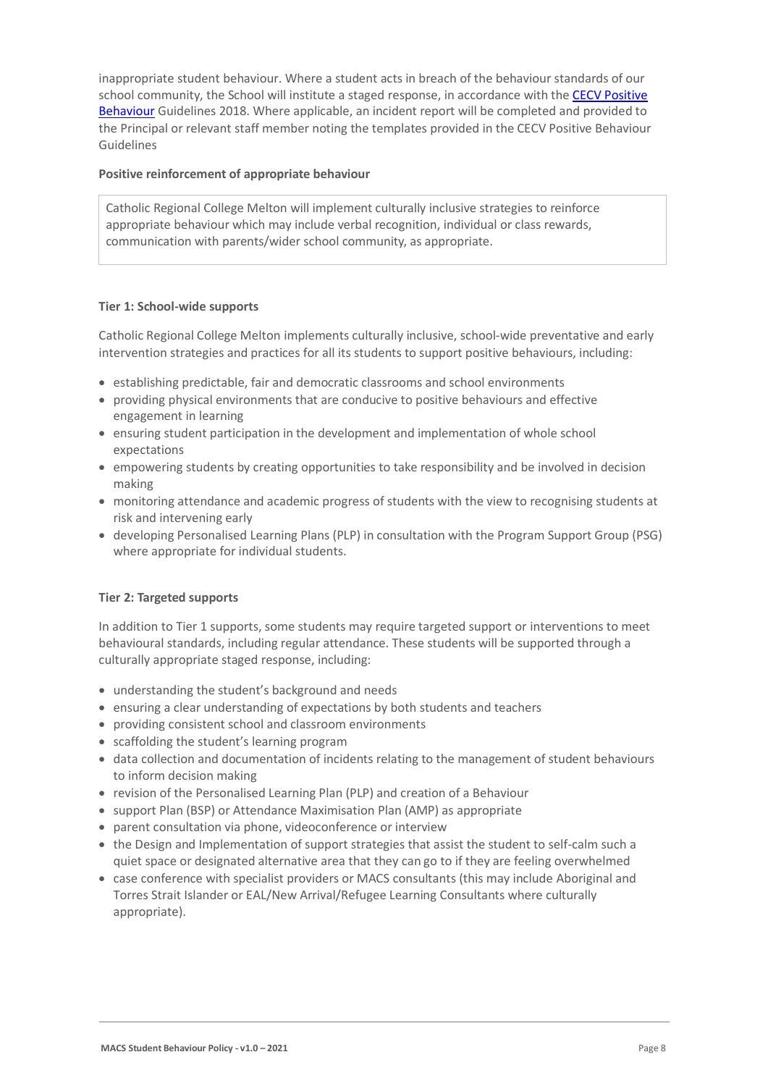inappropriate student behaviour. Where a student acts in breach of the behaviour standards of our school community, the School will institute a staged response, in accordance with the CECV Positive [Behaviour](https://www.cecv.catholic.edu.au/getmedia/bc1d235d-9a98-4bb4-b3ac-84b50fa7c639/CECV-Positive-Behaviour-Guidelines_FINAL2.aspx?ext=.pdf) Guidelines 2018. Where applicable, an incident report will be completed and provided to the Principal or relevant staff member noting the templates provided in the CECV Positive Behaviour Guidelines

#### **Positive reinforcement of appropriate behaviour**

Catholic Regional College Melton will implement culturally inclusive strategies to reinforce appropriate behaviour which may include verbal recognition, individual or class rewards, communication with parents/wider school community, as appropriate.

### **Tier 1: School-wide supports**

Catholic Regional College Melton implements culturally inclusive, school-wide preventative and early intervention strategies and practices for all its students to support positive behaviours, including:

- establishing predictable, fair and democratic classrooms and school environments
- providing physical environments that are conducive to positive behaviours and effective engagement in learning
- ensuring student participation in the development and implementation of whole school expectations
- empowering students by creating opportunities to take responsibility and be involved in decision making
- monitoring attendance and academic progress of students with the view to recognising students at risk and intervening early
- developing Personalised Learning Plans (PLP) in consultation with the Program Support Group (PSG) where appropriate for individual students.

### **Tier 2: Targeted supports**

In addition to Tier 1 supports, some students may require targeted support or interventions to meet behavioural standards, including regular attendance. These students will be supported through a culturally appropriate staged response, including:

- understanding the student's background and needs
- ensuring a clear understanding of expectations by both students and teachers
- providing consistent school and classroom environments
- scaffolding the student's learning program
- data collection and documentation of incidents relating to the management of student behaviours to inform decision making
- revision of the Personalised Learning Plan (PLP) and creation of a Behaviour
- support Plan (BSP) or Attendance Maximisation Plan (AMP) as appropriate
- parent consultation via phone, videoconference or interview
- the Design and Implementation of support strategies that assist the student to self-calm such a quiet space or designated alternative area that they can go to if they are feeling overwhelmed
- case conference with specialist providers or MACS consultants (this may include Aboriginal and Torres Strait Islander or EAL/New Arrival/Refugee Learning Consultants where culturally appropriate).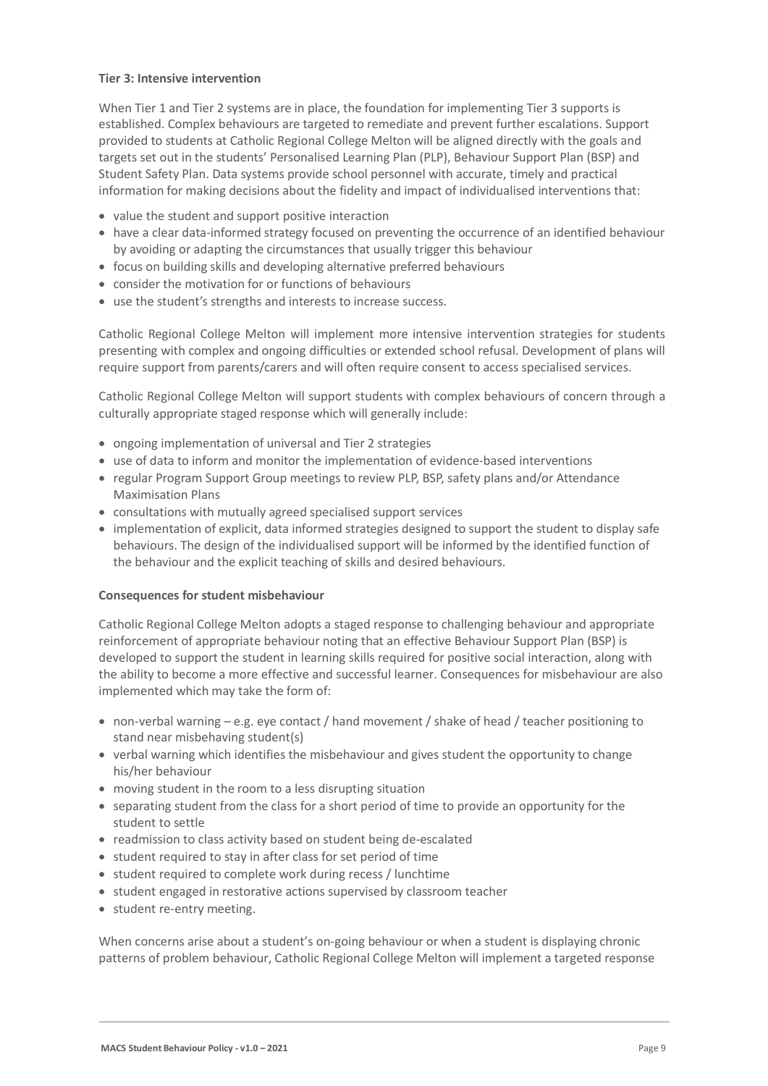#### **Tier 3: Intensive intervention**

When Tier 1 and Tier 2 systems are in place, the foundation for implementing Tier 3 supports is established. Complex behaviours are targeted to remediate and prevent further escalations. Support provided to students at Catholic Regional College Melton will be aligned directly with the goals and targets set out in the students' Personalised Learning Plan (PLP), Behaviour Support Plan (BSP) and Student Safety Plan. Data systems provide school personnel with accurate, timely and practical information for making decisions about the fidelity and impact of individualised interventions that:

- value the student and support positive interaction
- have a clear data-informed strategy focused on preventing the occurrence of an identified behaviour by avoiding or adapting the circumstances that usually trigger this behaviour
- focus on building skills and developing alternative preferred behaviours
- consider the motivation for or functions of behaviours
- use the student's strengths and interests to increase success.

Catholic Regional College Melton will implement more intensive intervention strategies for students presenting with complex and ongoing difficulties or extended school refusal. Development of plans will require support from parents/carers and will often require consent to access specialised services.

Catholic Regional College Melton will support students with complex behaviours of concern through a culturally appropriate staged response which will generally include:

- ongoing implementation of universal and Tier 2 strategies
- use of data to inform and monitor the implementation of evidence-based interventions
- regular Program Support Group meetings to review PLP, BSP, safety plans and/or Attendance Maximisation Plans
- consultations with mutually agreed specialised support services
- implementation of explicit, data informed strategies designed to support the student to display safe behaviours. The design of the individualised support will be informed by the identified function of the behaviour and the explicit teaching of skills and desired behaviours.

### **Consequences for student misbehaviour**

Catholic Regional College Melton adopts a staged response to challenging behaviour and appropriate reinforcement of appropriate behaviour noting that an effective Behaviour Support Plan (BSP) is developed to support the student in learning skills required for positive social interaction, along with the ability to become a more effective and successful learner. Consequences for misbehaviour are also implemented which may take the form of:

- non-verbal warning e.g. eye contact / hand movement / shake of head / teacher positioning to stand near misbehaving student(s)
- verbal warning which identifies the misbehaviour and gives student the opportunity to change his/her behaviour
- moving student in the room to a less disrupting situation
- separating student from the class for a short period of time to provide an opportunity for the student to settle
- readmission to class activity based on student being de-escalated
- student required to stay in after class for set period of time
- student required to complete work during recess / lunchtime
- student engaged in restorative actions supervised by classroom teacher
- student re-entry meeting.

When concerns arise about a student's on-going behaviour or when a student is displaying chronic patterns of problem behaviour, Catholic Regional College Melton will implement a targeted response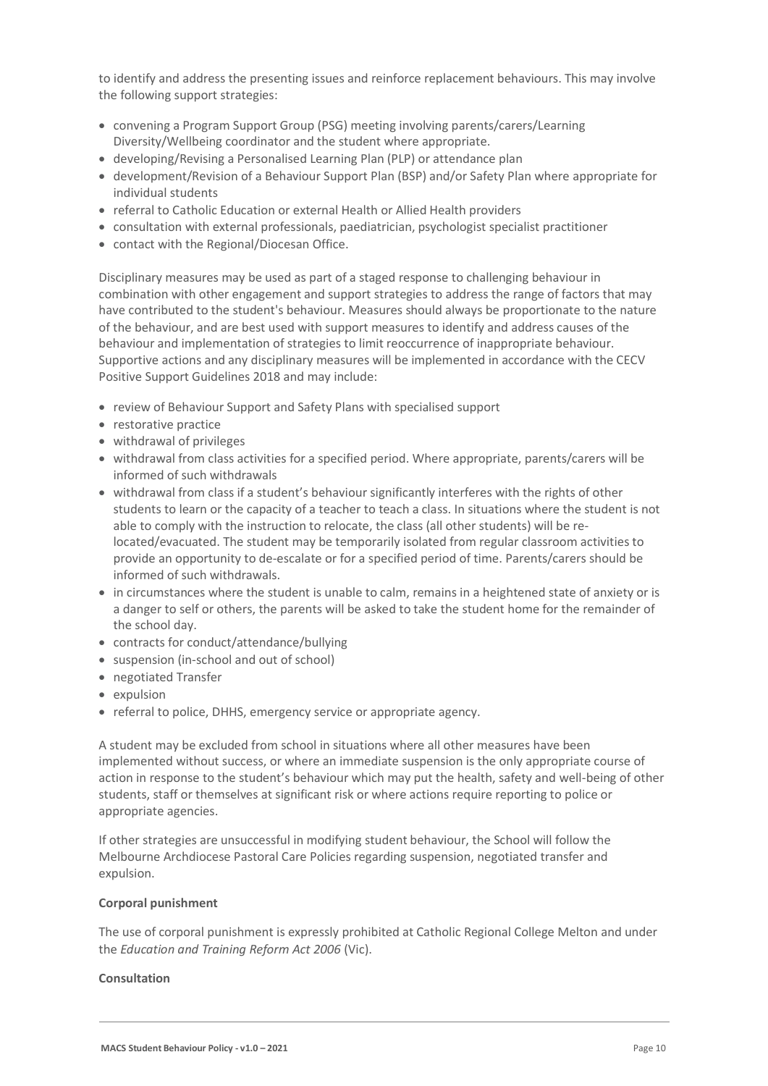to identify and address the presenting issues and reinforce replacement behaviours. This may involve the following support strategies:

- convening a Program Support Group (PSG) meeting involving parents/carers/Learning Diversity/Wellbeing coordinator and the student where appropriate.
- developing/Revising a Personalised Learning Plan (PLP) or attendance plan
- development/Revision of a Behaviour Support Plan (BSP) and/or Safety Plan where appropriate for individual students
- referral to Catholic Education or external Health or Allied Health providers
- consultation with external professionals, paediatrician, psychologist specialist practitioner
- contact with the Regional/Diocesan Office.

Disciplinary measures may be used as part of a staged response to challenging behaviour in combination with other engagement and support strategies to address the range of factors that may have contributed to the student's behaviour. Measures should always be proportionate to the nature of the behaviour, and are best used with support measures to identify and address causes of the behaviour and implementation of strategies to limit reoccurrence of inappropriate behaviour. Supportive actions and any disciplinary measures will be implemented in accordance with the CECV Positive Support Guidelines 2018 and may include:

- review of Behaviour Support and Safety Plans with specialised support
- restorative practice
- withdrawal of privileges
- withdrawal from class activities for a specified period. Where appropriate, parents/carers will be informed of such withdrawals
- withdrawal from class if a student's behaviour significantly interferes with the rights of other students to learn or the capacity of a teacher to teach a class. In situations where the student is not able to comply with the instruction to relocate, the class (all other students) will be relocated/evacuated. The student may be temporarily isolated from regular classroom activities to provide an opportunity to de-escalate or for a specified period of time. Parents/carers should be informed of such withdrawals.
- in circumstances where the student is unable to calm, remains in a heightened state of anxiety or is a danger to self or others, the parents will be asked to take the student home for the remainder of the school day.
- contracts for conduct/attendance/bullying
- suspension (in-school and out of school)
- negotiated Transfer
- expulsion
- referral to police, DHHS, emergency service or appropriate agency.

A student may be excluded from school in situations where all other measures have been implemented without success, or where an immediate suspension is the only appropriate course of action in response to the student's behaviour which may put the health, safety and well-being of other students, staff or themselves at significant risk or where actions require reporting to police or appropriate agencies.

If other strategies are unsuccessful in modifying student behaviour, the School will follow the Melbourne Archdiocese Pastoral Care Policies regarding suspension, negotiated transfer and expulsion.

#### **Corporal punishment**

The use of corporal punishment is expressly prohibited at Catholic Regional College Melton and under the *Education and Training Reform Act 2006* (Vic).

#### **Consultation**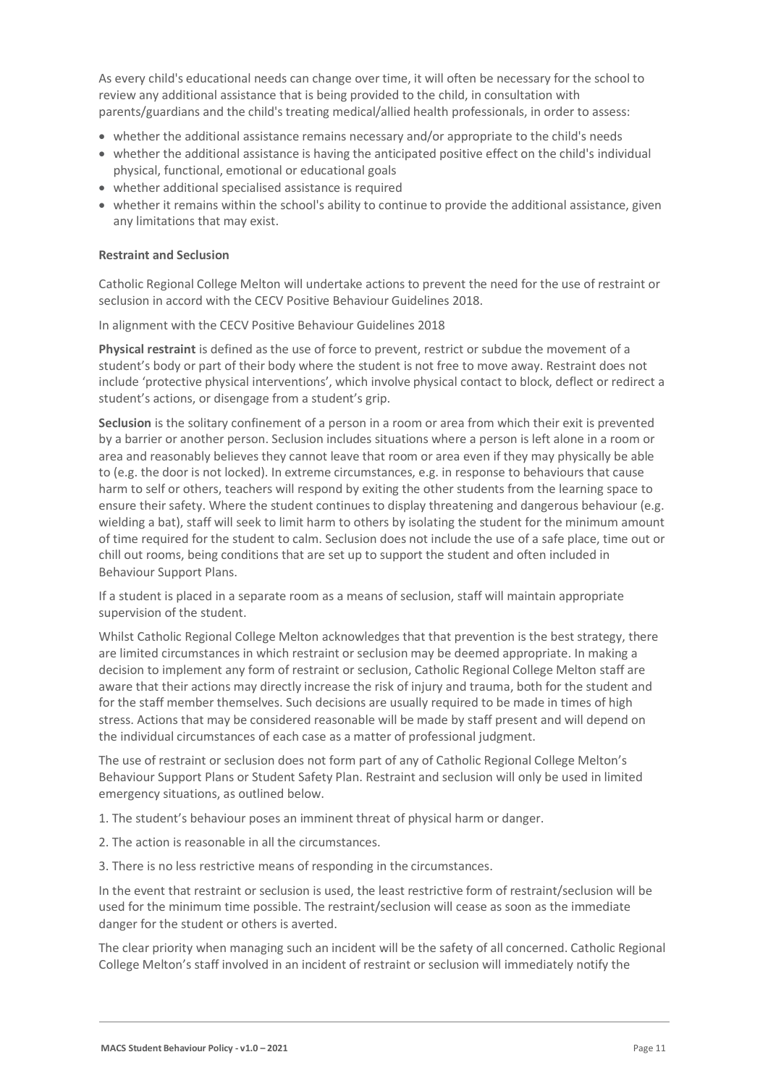As every child's educational needs can change over time, it will often be necessary for the school to review any additional assistance that is being provided to the child, in consultation with parents/guardians and the child's treating medical/allied health professionals, in order to assess:

- whether the additional assistance remains necessary and/or appropriate to the child's needs
- whether the additional assistance is having the anticipated positive effect on the child's individual physical, functional, emotional or educational goals
- whether additional specialised assistance is required
- whether it remains within the school's ability to continue to provide the additional assistance, given any limitations that may exist.

#### **Restraint and Seclusion**

Catholic Regional College Melton will undertake actions to prevent the need for the use of restraint or seclusion in accord with the CECV Positive Behaviour Guidelines 2018.

In alignment with the CECV Positive Behaviour Guidelines 2018

**Physical restraint** is defined as the use of force to prevent, restrict or subdue the movement of a student's body or part of their body where the student is not free to move away. Restraint does not include 'protective physical interventions', which involve physical contact to block, deflect or redirect a student's actions, or disengage from a student's grip.

**Seclusion** is the solitary confinement of a person in a room or area from which their exit is prevented by a barrier or another person. Seclusion includes situations where a person is left alone in a room or area and reasonably believes they cannot leave that room or area even if they may physically be able to (e.g. the door is not locked). In extreme circumstances, e.g. in response to behaviours that cause harm to self or others, teachers will respond by exiting the other students from the learning space to ensure their safety. Where the student continues to display threatening and dangerous behaviour (e.g. wielding a bat), staff will seek to limit harm to others by isolating the student for the minimum amount of time required for the student to calm. Seclusion does not include the use of a safe place, time out or chill out rooms, being conditions that are set up to support the student and often included in Behaviour Support Plans.

If a student is placed in a separate room as a means of seclusion, staff will maintain appropriate supervision of the student.

Whilst Catholic Regional College Melton acknowledges that that prevention is the best strategy, there are limited circumstances in which restraint or seclusion may be deemed appropriate. In making a decision to implement any form of restraint or seclusion, Catholic Regional College Melton staff are aware that their actions may directly increase the risk of injury and trauma, both for the student and for the staff member themselves. Such decisions are usually required to be made in times of high stress. Actions that may be considered reasonable will be made by staff present and will depend on the individual circumstances of each case as a matter of professional judgment.

The use of restraint or seclusion does not form part of any of Catholic Regional College Melton's Behaviour Support Plans or Student Safety Plan. Restraint and seclusion will only be used in limited emergency situations, as outlined below.

1. The student's behaviour poses an imminent threat of physical harm or danger.

- 2. The action is reasonable in all the circumstances.
- 3. There is no less restrictive means of responding in the circumstances.

In the event that restraint or seclusion is used, the least restrictive form of restraint/seclusion will be used for the minimum time possible. The restraint/seclusion will cease as soon as the immediate danger for the student or others is averted.

The clear priority when managing such an incident will be the safety of all concerned. Catholic Regional College Melton's staff involved in an incident of restraint or seclusion will immediately notify the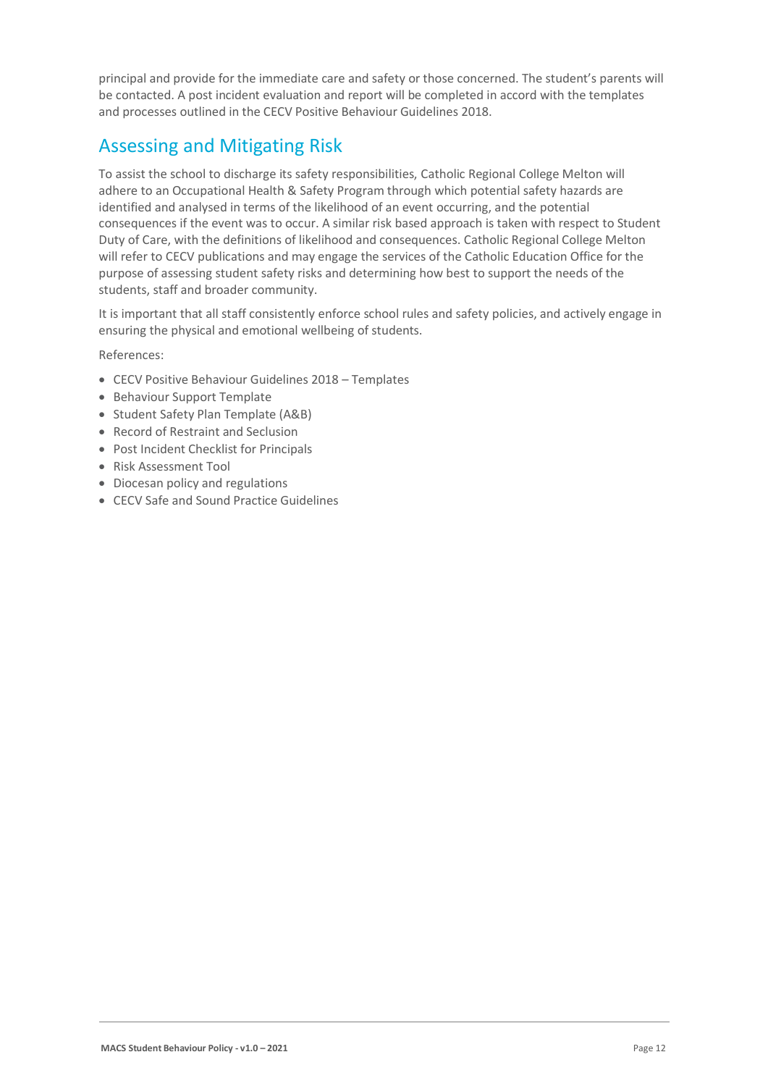principal and provide for the immediate care and safety or those concerned. The student's parents will be contacted. A post incident evaluation and report will be completed in accord with the templates and processes outlined in the CECV Positive Behaviour Guidelines 2018.

## Assessing and Mitigating Risk

To assist the school to discharge its safety responsibilities, Catholic Regional College Melton will adhere to an Occupational Health & Safety Program through which potential safety hazards are identified and analysed in terms of the likelihood of an event occurring, and the potential consequences if the event was to occur. A similar risk based approach is taken with respect to Student Duty of Care, with the definitions of likelihood and consequences. Catholic Regional College Melton will refer to CECV publications and may engage the services of the Catholic Education Office for the purpose of assessing student safety risks and determining how best to support the needs of the students, staff and broader community.

It is important that all staff consistently enforce school rules and safety policies, and actively engage in ensuring the physical and emotional wellbeing of students.

References:

- CECV Positive Behaviour Guidelines 2018 Templates
- Behaviour Support Template
- Student Safety Plan Template (A&B)
- Record of Restraint and Seclusion
- Post Incident Checklist for Principals
- Risk Assessment Tool
- Diocesan policy and regulations
- CECV Safe and Sound Practice Guidelines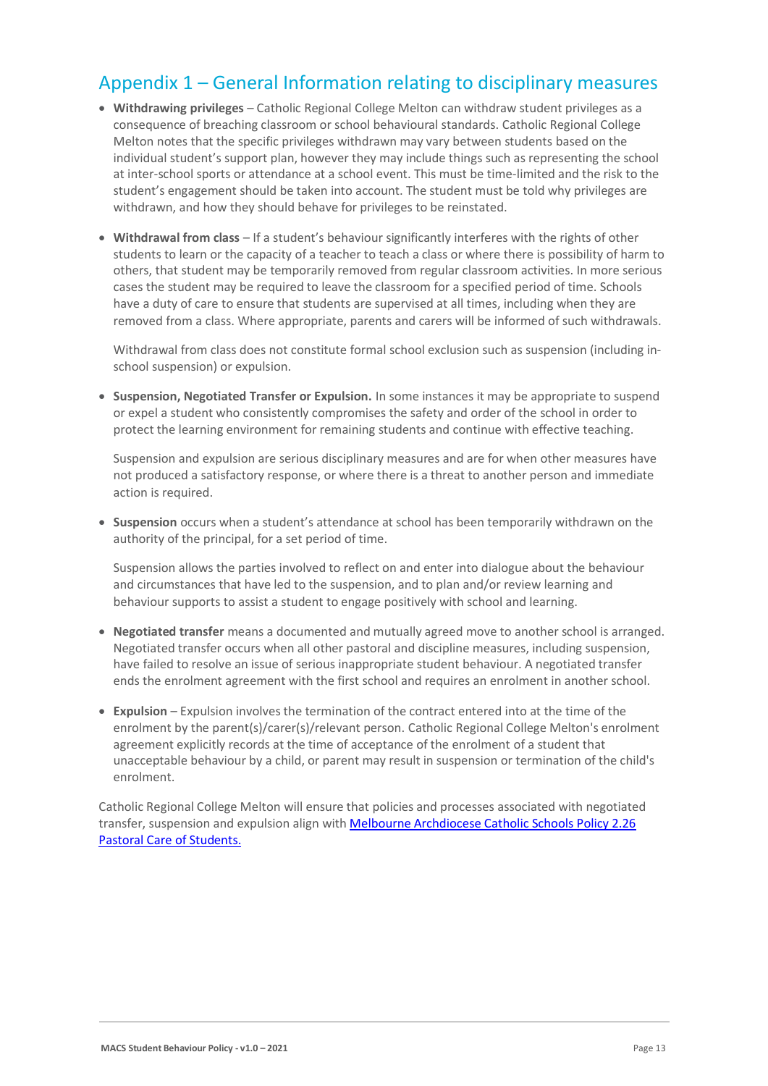### Appendix 1 – General Information relating to disciplinary measures

- **Withdrawing privileges** Catholic Regional College Melton can withdraw student privileges as a consequence of breaching classroom or school behavioural standards. Catholic Regional College Melton notes that the specific privileges withdrawn may vary between students based on the individual student's support plan, however they may include things such as representing the school at inter-school sports or attendance at a school event. This must be time-limited and the risk to the student's engagement should be taken into account. The student must be told why privileges are withdrawn, and how they should behave for privileges to be reinstated.
- **Withdrawal from class** If a student's behaviour significantly interferes with the rights of other students to learn or the capacity of a teacher to teach a class or where there is possibility of harm to others, that student may be temporarily removed from regular classroom activities. In more serious cases the student may be required to leave the classroom for a specified period of time. Schools have a duty of care to ensure that students are supervised at all times, including when they are removed from a class. Where appropriate, parents and carers will be informed of such withdrawals.

Withdrawal from class does not constitute formal school exclusion such as suspension (including inschool suspension) or expulsion.

• **Suspension, Negotiated Transfer or Expulsion.** In some instances it may be appropriate to suspend or expel a student who consistently compromises the safety and order of the school in order to protect the learning environment for remaining students and continue with effective teaching.

Suspension and expulsion are serious disciplinary measures and are for when other measures have not produced a satisfactory response, or where there is a threat to another person and immediate action is required.

• **Suspension** occurs when a student's attendance at school has been temporarily withdrawn on the authority of the principal, for a set period of time.

Suspension allows the parties involved to reflect on and enter into dialogue about the behaviour and circumstances that have led to the suspension, and to plan and/or review learning and behaviour supports to assist a student to engage positively with school and learning.

- **Negotiated transfer** means a documented and mutually agreed move to another school is arranged. Negotiated transfer occurs when all other pastoral and discipline measures, including suspension, have failed to resolve an issue of serious inappropriate student behaviour. A negotiated transfer ends the enrolment agreement with the first school and requires an enrolment in another school.
- **Expulsion** Expulsion involves the termination of the contract entered into at the time of the enrolment by the parent(s)/carer(s)/relevant person. Catholic Regional College Melton's enrolment agreement explicitly records at the time of acceptance of the enrolment of a student that unacceptable behaviour by a child, or parent may result in suspension or termination of the child's enrolment.

Catholic Regional College Melton will ensure that policies and processes associated with negotiated transfer, suspension and expulsion align with [Melbourne Archdiocese Catholic Schools Policy 2.26](https://www.macs.vic.edu.au/About-Us/Policies/Pastoral-Care-of-Students.aspx)  [Pastoral Care of Students.](https://www.macs.vic.edu.au/About-Us/Policies/Pastoral-Care-of-Students.aspx)